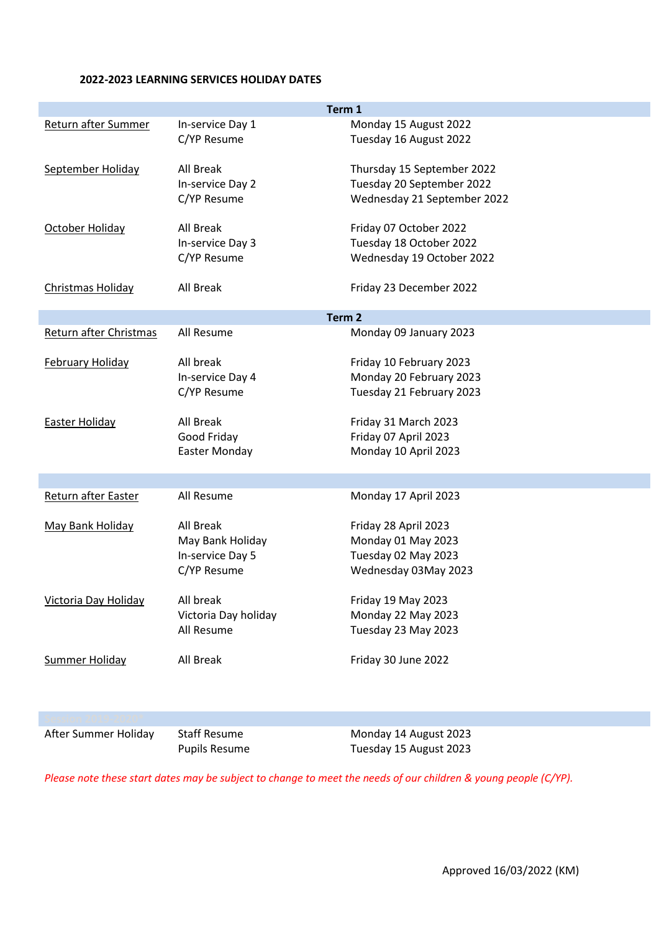## **2022-2023 LEARNING SERVICES HOLIDAY DATES**

|                          |                      | Term 1                      |
|--------------------------|----------------------|-----------------------------|
| Return after Summer      | In-service Day 1     | Monday 15 August 2022       |
|                          | C/YP Resume          | Tuesday 16 August 2022      |
|                          |                      |                             |
| September Holiday        | All Break            | Thursday 15 September 2022  |
|                          | In-service Day 2     | Tuesday 20 September 2022   |
|                          | C/YP Resume          | Wednesday 21 September 2022 |
| October Holiday          | All Break            | Friday 07 October 2022      |
|                          | In-service Day 3     | Tuesday 18 October 2022     |
|                          | C/YP Resume          | Wednesday 19 October 2022   |
|                          |                      |                             |
| <b>Christmas Holiday</b> | All Break            | Friday 23 December 2022     |
|                          |                      |                             |
|                          |                      | Term <sub>2</sub>           |
| Return after Christmas   | All Resume           | Monday 09 January 2023      |
|                          | All break            |                             |
| February Holiday         |                      | Friday 10 February 2023     |
|                          | In-service Day 4     | Monday 20 February 2023     |
|                          | C/YP Resume          | Tuesday 21 February 2023    |
| <b>Easter Holiday</b>    | All Break            | Friday 31 March 2023        |
|                          | Good Friday          | Friday 07 April 2023        |
|                          | <b>Easter Monday</b> | Monday 10 April 2023        |
|                          |                      |                             |
|                          |                      |                             |
| Return after Easter      | All Resume           | Monday 17 April 2023        |
| May Bank Holiday         | All Break            | Friday 28 April 2023        |
|                          | May Bank Holiday     | Monday 01 May 2023          |
|                          | In-service Day 5     | Tuesday 02 May 2023         |
|                          | C/YP Resume          | Wednesday 03May 2023        |
|                          |                      |                             |
| Victoria Day Holiday     | All break            | Friday 19 May 2023          |
|                          | Victoria Day holiday | Monday 22 May 2023          |
|                          | All Resume           | Tuesday 23 May 2023         |
|                          |                      |                             |
| <b>Summer Holiday</b>    | All Break            | Friday 30 June 2022         |
|                          |                      |                             |
|                          |                      |                             |
|                          |                      |                             |

After Summer Holiday Staff Resume Monday 14 August 2023

Pupils Resume Tuesday 15 August 2023

*Please note these start dates may be subject to change to meet the needs of our children & young people (C/YP).*